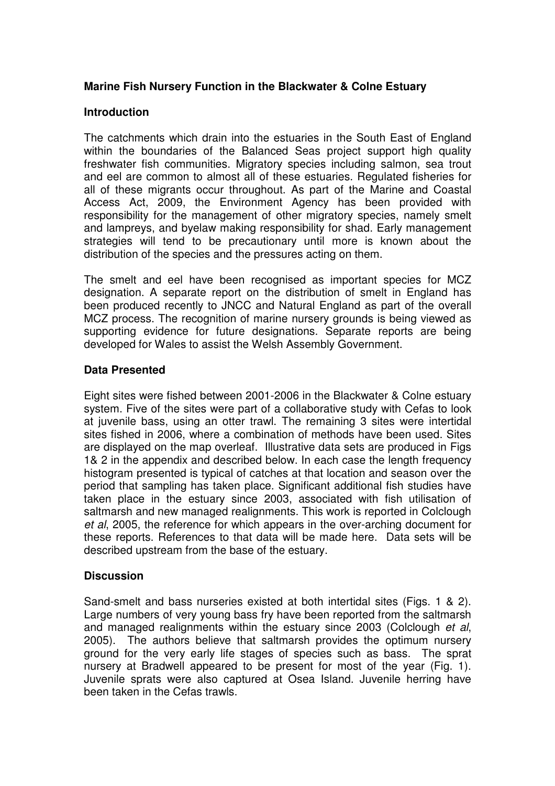## **Marine Fish Nursery Function in the Blackwater & Colne Estuary**

#### **Introduction**

The catchments which drain into the estuaries in the South East of England within the boundaries of the Balanced Seas project support high quality freshwater fish communities. Migratory species including salmon, sea trout and eel are common to almost all of these estuaries. Regulated fisheries for all of these migrants occur throughout. As part of the Marine and Coastal Access Act, 2009, the Environment Agency has been provided with responsibility for the management of other migratory species, namely smelt and lampreys, and byelaw making responsibility for shad. Early management strategies will tend to be precautionary until more is known about the distribution of the species and the pressures acting on them.

The smelt and eel have been recognised as important species for MCZ designation. A separate report on the distribution of smelt in England has been produced recently to JNCC and Natural England as part of the overall MCZ process. The recognition of marine nursery grounds is being viewed as supporting evidence for future designations. Separate reports are being developed for Wales to assist the Welsh Assembly Government.

## **Data Presented**

Eight sites were fished between 2001-2006 in the Blackwater & Colne estuary system. Five of the sites were part of a collaborative study with Cefas to look at juvenile bass, using an otter trawl. The remaining 3 sites were intertidal sites fished in 2006, where a combination of methods have been used. Sites are displayed on the map overleaf.Illustrative data sets are produced in Figs 1& 2 in the appendix and described below. In each case the length frequency histogram presented is typical of catches at that location and season over the period that sampling has taken place. Significant additional fish studies have taken place in the estuary since 2003, associated with fish utilisation of saltmarsh and new managed realignments. This work is reported in Colclough et al, 2005, the reference for which appears in the over-arching document for these reports. References to that data will be made here. Data sets will be described upstream from the base of the estuary.

#### **Discussion**

Sand-smelt and bass nurseries existed at both intertidal sites (Figs. 1 & 2). Large numbers of very young bass fry have been reported from the saltmarsh and managed realignments within the estuary since 2003 (Colclough et al, 2005). The authors believe that saltmarsh provides the optimum nursery ground for the very early life stages of species such as bass. The sprat nursery at Bradwell appeared to be present for most of the year (Fig. 1). Juvenile sprats were also captured at Osea Island. Juvenile herring have been taken in the Cefas trawls.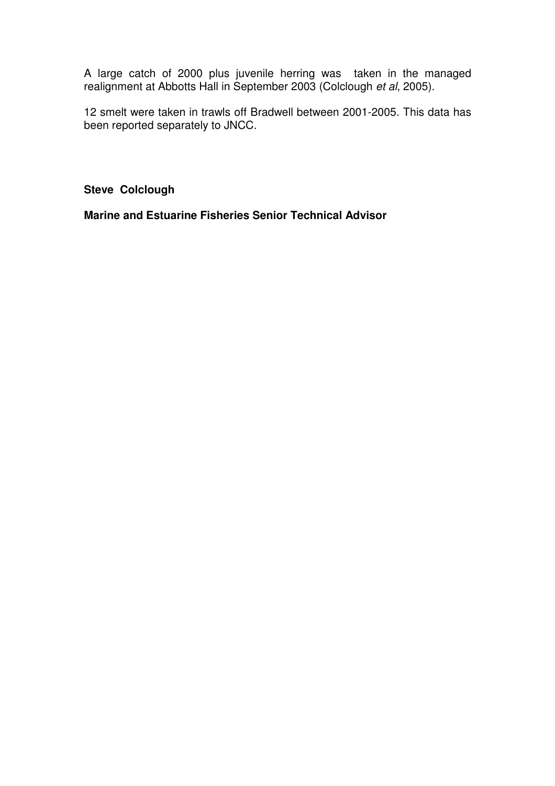A large catch of 2000 plus juvenile herring was taken in the managed realignment at Abbotts Hall in September 2003 (Colclough et al, 2005).

12 smelt were taken in trawls off Bradwell between 2001-2005. This data has been reported separately to JNCC.

**Steve Colclough** 

**Marine and Estuarine Fisheries Senior Technical Advisor**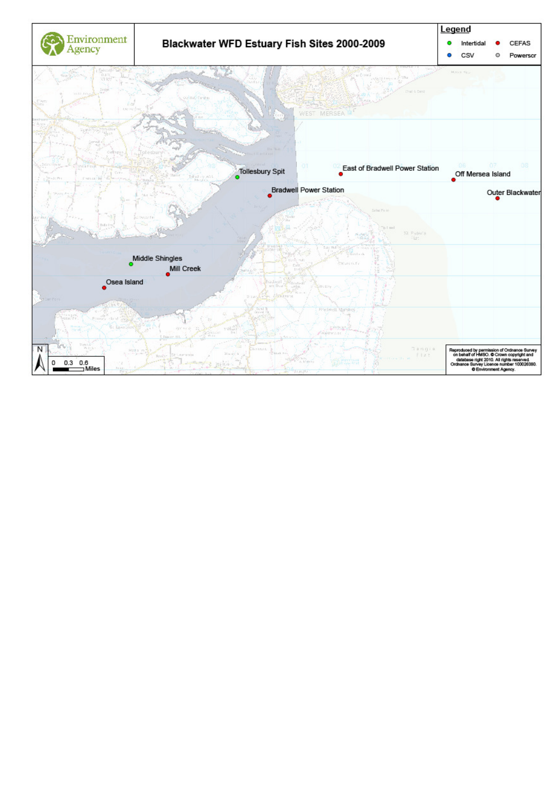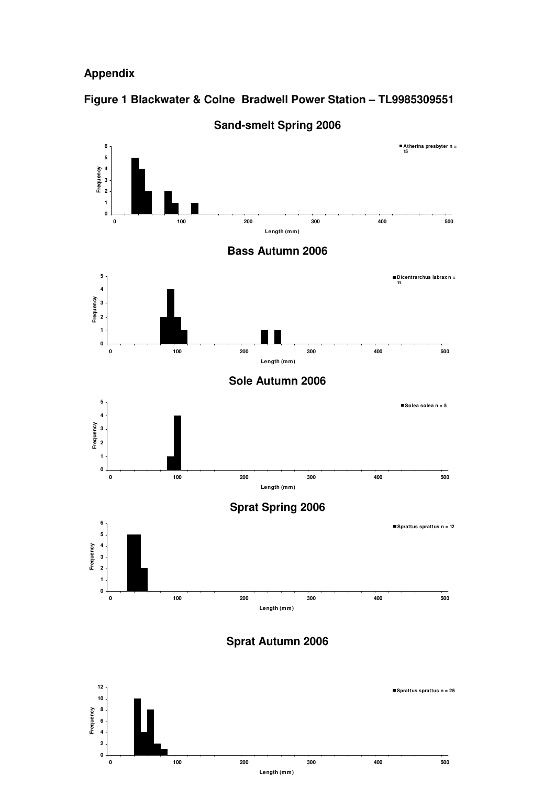## **Appendix**

# **Figure 1 Blackwater & Colne Bradwell Power Station – TL9985309551**



**Sand-smelt Spring 2006** 

**Sprat Autumn 2006**